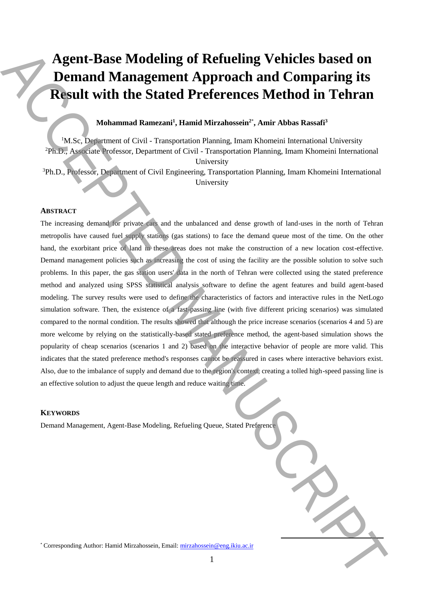# **Agent-Base Modeling of Refueling Vehicles based on Demand Management Approach and Comparing its Result with the Stated Preferences Method in Tehran**

# **Mohammad Ramezani<sup>1</sup> , Hamid Mirzahossein<sup>2</sup>**\* **, Amir Abbas Rassafi<sup>3</sup>**

<sup>1</sup>M.Sc, Department of Civil - Transportation Planning, Imam Khomeini International University <sup>2</sup>Ph.D., Associate Professor, Department of Civil - Transportation Planning, Imam Khomeini International University

<sup>3</sup>Ph.D., Professor, Department of Civil Engineering, Transportation Planning, Imam Khomeini International University

### **ABSTRACT**

The increasing demand for private cars and the unbalanced and dense growth of land-uses in the north of Tehran metropolis have caused fuel supply stations (gas stations) to face the demand queue most of the time. On the other hand, the exorbitant price of land in these areas does not make the construction of a new location cost-effective. Demand management policies such as increasing the cost of using the facility are the possible solution to solve such problems. In this paper, the gas station users' data in the north of Tehran were collected using the stated preference method and analyzed using SPSS statistical analysis software to define the agent features and build agent-based modeling. The survey results were used to define the characteristics of factors and interactive rules in the NetLogo simulation software. Then, the existence of a fast-passing line (with five different pricing scenarios) was simulated compared to the normal condition. The results showed that although the price increase scenarios (scenarios 4 and 5) are more welcome by relying on the statistically-based stated preference method, the agent-based simulation shows the popularity of cheap scenarios (scenarios 1 and 2) based on the interactive behavior of people are more valid. This indicates that the stated preference method's responses cannot be reassured in cases where interactive behaviors exist. Also, due to the imbalance of supply and demand due to the region's context, creating a tolled high-speed passing line is an effective solution to adjust the queue length and reduce waiting time. Agent-Base Modeling of Refueling Vehicles based on<br>
Demand Management Approach and Comparing its<br>
Regular with the Stated Preferences Method in Tehran<br>
Mission Regular with the Stated Preferences Method in Tehran<br>
Mission

#### **KEYWORDS**

Demand Management, Agent-Base Modeling, Refueling Queue, Stated Preference

**.**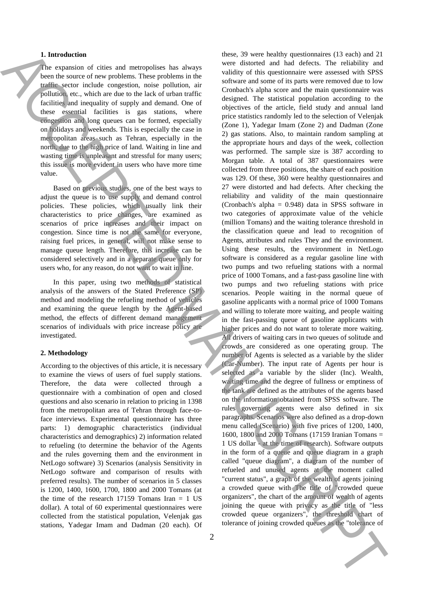#### **1. Introduction**

The expansion of cities and metropolises has always been the source of new problems. These problems in the traffic sector include congestion, noise pollution, air pollution, etc., which are due to the lack of urban traffic facilities and inequality of supply and demand. One of these essential facilities is gas stations, where congestion and long queues can be formed, especially on holidays and weekends. This is especially the case in metropolitan areas such as Tehran, especially in the north, due to the high price of land. Waiting in line and wasting time is unpleasant and stressful for many users; this issue is more evident in users who have more time value.

Based on previous studies, one of the best ways to adjust the queue is to use supply and demand control policies. These policies, which usually link their characteristics to price changes, are examined as scenarios of price increases and their impact on congestion. Since time is not the same for everyone, raising fuel prices, in general, will not make sense to manage queue length. Therefore, this increase can be considered selectively and in a separate queue only for users who, for any reason, do not want to wait in line.

In this paper, using two methods of statistical analysis of the answers of the Stated Preference (SP) method and modeling the refueling method of vehicles and examining the queue length by the Agent-based method, the effects of different demand management scenarios of individuals with price increase policy are investigated.

## **2. Methodology**

According to the objectives of this article, it is necessary to examine the views of users of fuel supply stations. Therefore, the data were collected through a questionnaire with a combination of open and closed questions and also scenario in relation to pricing in 1398 from the metropolitan area of Tehran through face-toface interviews. Experimental questionnaire has three parts: 1) demographic characteristics (individual characteristics and demographics) 2) information related to refueling (to determine the behavior of the Agents and the rules governing them and the environment in NetLogo software) 3) Scenarios (analysis Sensitivity in NetLogo software and comparison of results with preferred results). The number of scenarios in 5 classes is 1200, 1400, 1600, 1700, 1800 and 2000 Tomans (at the time of the research  $17159$  Tomans Iran = 1 US dollar). A total of 60 experimental questionnaires were collected from the statistical population, Velenjak gas stations, Yadegar Imam and Dadman (20 each). Of

these, 39 were healthy questionnaires (13 each) and 21 were distorted and had defects. The reliability and validity of this questionnaire were assessed with SPSS software and some of its parts were removed due to low Cronbach's alpha score and the main questionnaire was designed. The statistical population according to the objectives of the article, field study and annual land price statistics randomly led to the selection of Velenjak (Zone 1), Yadegar Imam (Zone 2) and Dadman (Zone 2) gas stations. Also, to maintain random sampling at the appropriate hours and days of the week, collection was performed. The sample size is 387 according to Morgan table. A total of 387 questionnaires were collected from three positions, the share of each position was 129. Of these, 360 were healthy questionnaires and 27 were distorted and had defects. After checking the reliability and validity of the main questionnaire (Cronbach's alpha = 0.948) data in SPSS software in two categories of approximate value of the vehicle (million Tomans) and the waiting tolerance threshold in the classification queue and lead to recognition of Agents, attributes and rules They and the environment. Using these results, the environment in NetLogo software is considered as a regular gasoline line with two pumps and two refueling stations with a normal price of 1000 Tomans, and a fast-pass gasoline line with two pumps and two refueling stations with price scenarios. People waiting in the normal queue of gasoline applicants with a normal price of 1000 Tomans and willing to tolerate more waiting, and people waiting in the fast-passing queue of gasoline applicants with higher prices and do not want to tolerate more waiting. All drivers of waiting cars in two queues of solitude and crowds are considered as one operating group. The number of Agents is selected as a variable by the slider (Car-Number). The input rate of Agents per hour is selected as a variable by the slider (Inc). Wealth, waiting time and the degree of fullness or emptiness of the tank are defined as the attributes of the agents based on the information obtained from SPSS software. The rules governing agents were also defined in six paragraphs. Scenarios were also defined as a drop-down menu called (Scenario) with five prices of 1200, 1400, 1600, 1800 and 2000 Tomans (17159 Iranian Tomans = 1 US dollar - at the time of research). Software outputs in the form of a queue and queue diagram in a graph called "queue diagram", a diagram of the number of refueled and unused agents at the moment called "current status", a graph of the wealth of agents joining a crowded queue with The title of "crowded queue organizers", the chart of the amount of wealth of agents joining the queue with privacy as the title of "less crowded queue organizers", the threshold chart of The transfer of city and activities the policies as the policies as the control of the control of the control of the control of the control of the control of the control of the control of the control of the control of  $\mu$